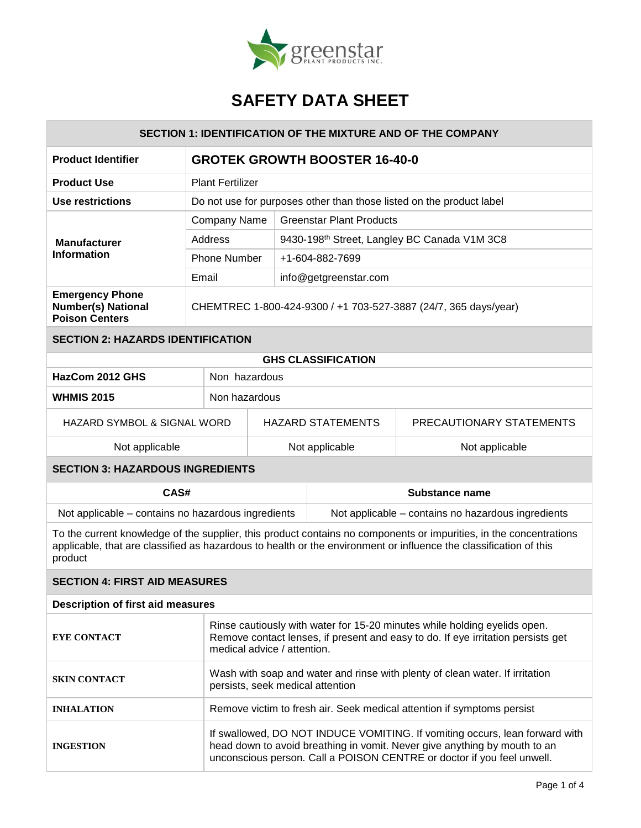

| <b>SECTION 1: IDENTIFICATION OF THE MIXTURE AND OF THE COMPANY</b>                                                                                                                                                                                 |                                                                                                                                                                                                                                    |                                                                      |                                                    |                          |                                                          |  |
|----------------------------------------------------------------------------------------------------------------------------------------------------------------------------------------------------------------------------------------------------|------------------------------------------------------------------------------------------------------------------------------------------------------------------------------------------------------------------------------------|----------------------------------------------------------------------|----------------------------------------------------|--------------------------|----------------------------------------------------------|--|
| <b>Product Identifier</b>                                                                                                                                                                                                                          | <b>GROTEK GROWTH BOOSTER 16-40-0</b>                                                                                                                                                                                               |                                                                      |                                                    |                          |                                                          |  |
| <b>Product Use</b>                                                                                                                                                                                                                                 | <b>Plant Fertilizer</b>                                                                                                                                                                                                            |                                                                      |                                                    |                          |                                                          |  |
| Use restrictions                                                                                                                                                                                                                                   |                                                                                                                                                                                                                                    | Do not use for purposes other than those listed on the product label |                                                    |                          |                                                          |  |
|                                                                                                                                                                                                                                                    |                                                                                                                                                                                                                                    | <b>Greenstar Plant Products</b><br>Company Name                      |                                                    |                          |                                                          |  |
| <b>Manufacturer</b>                                                                                                                                                                                                                                | Address                                                                                                                                                                                                                            |                                                                      |                                                    |                          | 9430-198 <sup>th</sup> Street, Langley BC Canada V1M 3C8 |  |
| <b>Information</b>                                                                                                                                                                                                                                 | <b>Phone Number</b>                                                                                                                                                                                                                |                                                                      | +1-604-882-7699                                    |                          |                                                          |  |
|                                                                                                                                                                                                                                                    | Email                                                                                                                                                                                                                              |                                                                      |                                                    | info@getgreenstar.com    |                                                          |  |
| <b>Emergency Phone</b><br><b>Number(s) National</b><br><b>Poison Centers</b>                                                                                                                                                                       |                                                                                                                                                                                                                                    | CHEMTREC 1-800-424-9300 / +1 703-527-3887 (24/7, 365 days/year)      |                                                    |                          |                                                          |  |
| <b>SECTION 2: HAZARDS IDENTIFICATION</b>                                                                                                                                                                                                           |                                                                                                                                                                                                                                    |                                                                      |                                                    |                          |                                                          |  |
| <b>GHS CLASSIFICATION</b>                                                                                                                                                                                                                          |                                                                                                                                                                                                                                    |                                                                      |                                                    |                          |                                                          |  |
| HazCom 2012 GHS                                                                                                                                                                                                                                    | Non hazardous                                                                                                                                                                                                                      |                                                                      |                                                    |                          |                                                          |  |
| <b>WHMIS 2015</b>                                                                                                                                                                                                                                  | Non hazardous                                                                                                                                                                                                                      |                                                                      |                                                    |                          |                                                          |  |
| HAZARD SYMBOL & SIGNAL WORD                                                                                                                                                                                                                        |                                                                                                                                                                                                                                    |                                                                      |                                                    | <b>HAZARD STATEMENTS</b> | PRECAUTIONARY STATEMENTS                                 |  |
| Not applicable                                                                                                                                                                                                                                     |                                                                                                                                                                                                                                    |                                                                      |                                                    | Not applicable           | Not applicable                                           |  |
| <b>SECTION 3: HAZARDOUS INGREDIENTS</b>                                                                                                                                                                                                            |                                                                                                                                                                                                                                    |                                                                      |                                                    |                          |                                                          |  |
| CAS#                                                                                                                                                                                                                                               |                                                                                                                                                                                                                                    |                                                                      | Substance name                                     |                          |                                                          |  |
| Not applicable – contains no hazardous ingredients                                                                                                                                                                                                 |                                                                                                                                                                                                                                    |                                                                      | Not applicable – contains no hazardous ingredients |                          |                                                          |  |
| To the current knowledge of the supplier, this product contains no components or impurities, in the concentrations<br>applicable, that are classified as hazardous to health or the environment or influence the classification of this<br>product |                                                                                                                                                                                                                                    |                                                                      |                                                    |                          |                                                          |  |
| <b>SECTION 4: FIRST AID MEASURES</b>                                                                                                                                                                                                               |                                                                                                                                                                                                                                    |                                                                      |                                                    |                          |                                                          |  |
| <b>Description of first aid measures</b>                                                                                                                                                                                                           |                                                                                                                                                                                                                                    |                                                                      |                                                    |                          |                                                          |  |
| <b>EYE CONTACT</b>                                                                                                                                                                                                                                 | Rinse cautiously with water for 15-20 minutes while holding eyelids open.<br>Remove contact lenses, if present and easy to do. If eye irritation persists get<br>medical advice / attention.                                       |                                                                      |                                                    |                          |                                                          |  |
| <b>SKIN CONTACT</b>                                                                                                                                                                                                                                | Wash with soap and water and rinse with plenty of clean water. If irritation<br>persists, seek medical attention                                                                                                                   |                                                                      |                                                    |                          |                                                          |  |
| <b>INHALATION</b>                                                                                                                                                                                                                                  | Remove victim to fresh air. Seek medical attention if symptoms persist                                                                                                                                                             |                                                                      |                                                    |                          |                                                          |  |
| <b>INGESTION</b>                                                                                                                                                                                                                                   | If swallowed, DO NOT INDUCE VOMITING. If vomiting occurs, lean forward with<br>head down to avoid breathing in vomit. Never give anything by mouth to an<br>unconscious person. Call a POISON CENTRE or doctor if you feel unwell. |                                                                      |                                                    |                          |                                                          |  |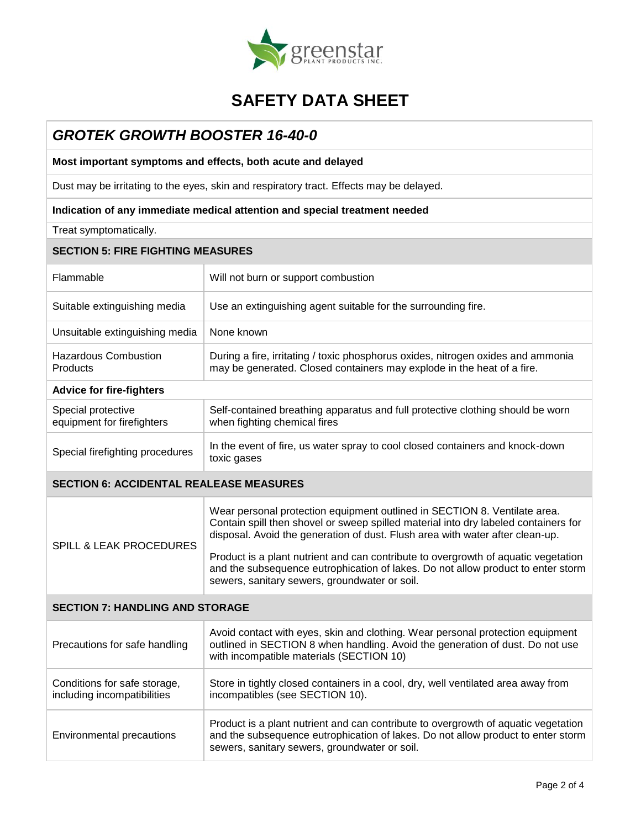

## *GROTEK GROWTH BOOSTER 16-40-0*

**Most important symptoms and effects, both acute and delayed**

Dust may be irritating to the eyes, skin and respiratory tract. Effects may be delayed.

### **Indication of any immediate medical attention and special treatment needed**

Treat symptomatically.

## **SECTION 5: FIRE FIGHTING MEASURES**

| Flammable                                        | Will not burn or support combustion                                                                                                                        |  |  |
|--------------------------------------------------|------------------------------------------------------------------------------------------------------------------------------------------------------------|--|--|
| Suitable extinguishing media                     | Use an extinguishing agent suitable for the surrounding fire.                                                                                              |  |  |
| Unsuitable extinguishing media                   | None known                                                                                                                                                 |  |  |
| <b>Hazardous Combustion</b><br>Products          | During a fire, irritating / toxic phosphorus oxides, nitrogen oxides and ammonia<br>may be generated. Closed containers may explode in the heat of a fire. |  |  |
| <b>Advice for fire-fighters</b>                  |                                                                                                                                                            |  |  |
| Special protective<br>equipment for firefighters | Self-contained breathing apparatus and full protective clothing should be worn<br>when fighting chemical fires                                             |  |  |
| Special firefighting procedures                  | In the event of fire, us water spray to cool closed containers and knock-down<br>toxic gases                                                               |  |  |
|                                                  |                                                                                                                                                            |  |  |

#### **SECTION 6: ACCIDENTAL REALEASE MEASURES**

| <b>SPILL &amp; LEAK PROCEDURES</b> | Wear personal protection equipment outlined in SECTION 8. Ventilate area.<br>Contain spill then shovel or sweep spilled material into dry labeled containers for<br>disposal. Avoid the generation of dust. Flush area with water after clean-up. |  |  |  |
|------------------------------------|---------------------------------------------------------------------------------------------------------------------------------------------------------------------------------------------------------------------------------------------------|--|--|--|
|                                    | Product is a plant nutrient and can contribute to overgrowth of aquatic vegetation<br>and the subsequence eutrophication of lakes. Do not allow product to enter storm<br>sewers, sanitary sewers, groundwater or soil.                           |  |  |  |

## **SECTION 7: HANDLING AND STORAGE**

| Precautions for safe handling                               | Avoid contact with eyes, skin and clothing. Wear personal protection equipment<br>outlined in SECTION 8 when handling. Avoid the generation of dust. Do not use<br>with incompatible materials (SECTION 10)             |
|-------------------------------------------------------------|-------------------------------------------------------------------------------------------------------------------------------------------------------------------------------------------------------------------------|
| Conditions for safe storage,<br>including incompatibilities | Store in tightly closed containers in a cool, dry, well ventilated area away from<br>incompatibles (see SECTION 10).                                                                                                    |
| Environmental precautions                                   | Product is a plant nutrient and can contribute to overgrowth of aquatic vegetation<br>and the subsequence eutrophication of lakes. Do not allow product to enter storm<br>sewers, sanitary sewers, groundwater or soil. |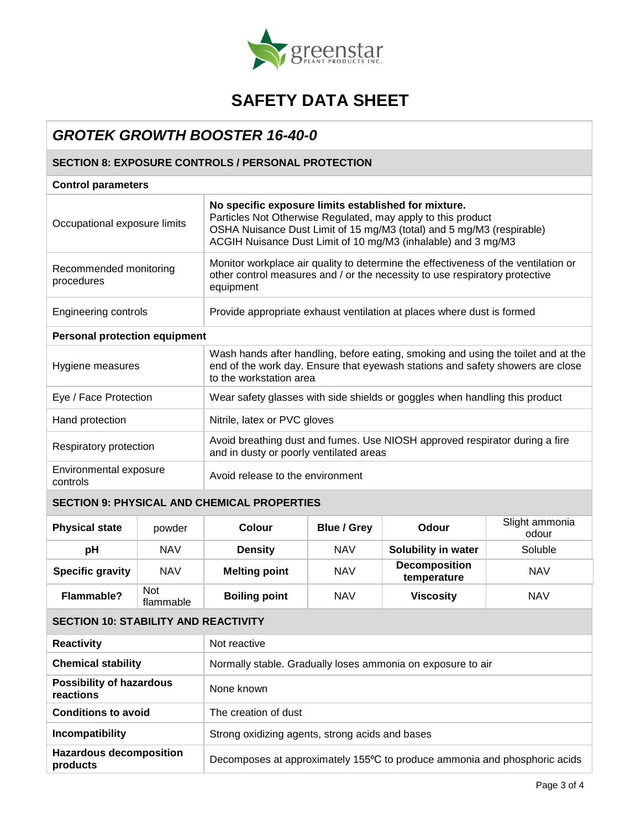

## *GROTEK GROWTH BOOSTER 16-40-0*

## **SECTION 8: EXPOSURE CONTROLS / PERSONAL PROTECTION**

## **Control parameters**

| Occupational exposure limits         | No specific exposure limits established for mixture.<br>Particles Not Otherwise Regulated, may apply to this product<br>OSHA Nuisance Dust Limit of 15 mg/M3 (total) and 5 mg/M3 (respirable)<br>ACGIH Nuisance Dust Limit of 10 mg/M3 (inhalable) and 3 mg/M3 |  |  |
|--------------------------------------|----------------------------------------------------------------------------------------------------------------------------------------------------------------------------------------------------------------------------------------------------------------|--|--|
| Recommended monitoring<br>procedures | Monitor workplace air quality to determine the effectiveness of the ventilation or<br>other control measures and / or the necessity to use respiratory protective<br>equipment                                                                                 |  |  |
| Engineering controls                 | Provide appropriate exhaust ventilation at places where dust is formed                                                                                                                                                                                         |  |  |
| <b>Personal protection equipment</b> |                                                                                                                                                                                                                                                                |  |  |
| Hygiene measures                     | Wash hands after handling, before eating, smoking and using the toilet and at the<br>end of the work day. Ensure that eyewash stations and safety showers are close<br>to the workstation area                                                                 |  |  |
| Eye / Face Protection                | Wear safety glasses with side shields or goggles when handling this product                                                                                                                                                                                    |  |  |
| Hand protection                      | Nitrile, latex or PVC gloves                                                                                                                                                                                                                                   |  |  |
| Respiratory protection               | Avoid breathing dust and fumes. Use NIOSH approved respirator during a fire<br>and in dusty or poorly ventilated areas                                                                                                                                         |  |  |
| Environmental exposure<br>controls   | Avoid release to the environment                                                                                                                                                                                                                               |  |  |

## **SECTION 9: PHYSICAL AND CHEMICAL PROPERTIES**

| <b>Physical state</b>   | powder                  | Colour               | <b>Blue / Grey</b> | Odour                               | Slight ammonia<br>odour |
|-------------------------|-------------------------|----------------------|--------------------|-------------------------------------|-------------------------|
| рH                      | <b>NAV</b>              | <b>Density</b>       | <b>NAV</b>         | Solubility in water                 | Soluble                 |
| <b>Specific gravity</b> | <b>NAV</b>              | <b>Melting point</b> | <b>NAV</b>         | <b>Decomposition</b><br>temperature | <b>NAV</b>              |
| Flammable?              | <b>Not</b><br>flammable | <b>Boiling point</b> | <b>NAV</b>         | <b>Viscosity</b>                    | <b>NAV</b>              |

## **SECTION 10: STABILITY AND REACTIVITY**

| <b>Reactivity</b>                            | Not reactive                                                              |  |
|----------------------------------------------|---------------------------------------------------------------------------|--|
| <b>Chemical stability</b>                    | Normally stable. Gradually loses ammonia on exposure to air               |  |
| <b>Possibility of hazardous</b><br>reactions | None known                                                                |  |
| <b>Conditions to avoid</b>                   | The creation of dust                                                      |  |
| Incompatibility                              | Strong oxidizing agents, strong acids and bases                           |  |
| <b>Hazardous decomposition</b><br>products   | Decomposes at approximately 155°C to produce ammonia and phosphoric acids |  |